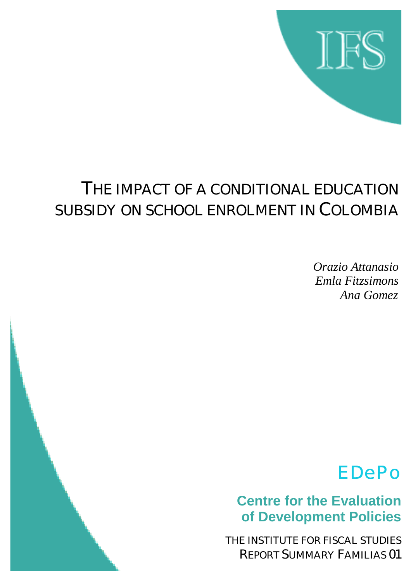

## THE IMPACT OF A CONDITIONAL EDUCATION SUBSIDY ON SCHOOL ENROLMENT IN COLOMBIA

*Orazio Attanasio Emla Fitzsimons Ana Gomez*

# EDePo

**Centre for the Evaluation of Development Policies**

THE INSTITUTE FOR FISCAL STUDIES REPORT SUMMARY FAMILIAS 01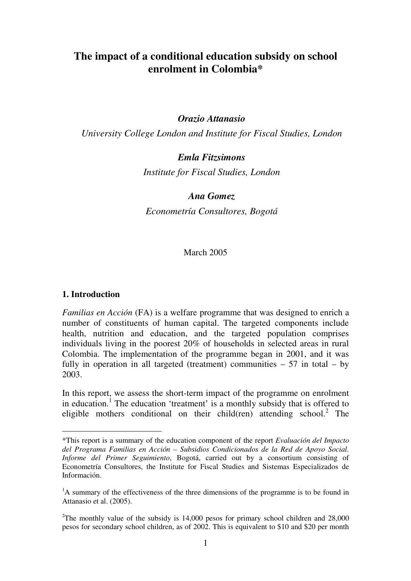## **The impact of a conditional education subsidy on school enrolment in Colombia\***

## *Orazio Attanasio*

*University College London and Institute for Fiscal Studies, London* 

## *Emla Fitzsimons*

*Institute for Fiscal Studies, London* 

#### *Ana Gomez*

*Econometría Consultores, Bogotá* 

March 2005

#### **1. Introduction**

 $\overline{a}$ 

*Familias en Acción* (FA) is a welfare programme that was designed to enrich a number of constituents of human capital. The targeted components include health, nutrition and education, and the targeted population comprises individuals living in the poorest 20% of households in selected areas in rural Colombia. The implementation of the programme began in 2001, and it was fully in operation in all targeted (treatment) communities  $-57$  in total  $-$  by 2003.

In this report, we assess the short-term impact of the programme on enrolment in education.<sup>1</sup> The education 'treatment' is a monthly subsidy that is offered to eligible mothers conditional on their child(ren) attending school.<sup>2</sup> The

<sup>\*</sup>This report is a summary of the education component of the report *Evaluación del Impacto del Programa Familias en Acción – Subsidios Condicionados de la Red de Apoyo Social. Informe del Primer Seguimiento*, Bogotá, carried out by a consortium consisting of Econometría Consultores, the Institute for Fiscal Studies and Sistemas Especializados de Información.

<sup>&</sup>lt;sup>1</sup>A summary of the effectiveness of the three dimensions of the programme is to be found in Attanasio et al. (2005).

<sup>&</sup>lt;sup>2</sup>The monthly value of the subsidy is 14,000 pesos for primary school children and  $28,000$ pesos for secondary school children, as of 2002. This is equivalent to \$10 and \$20 per month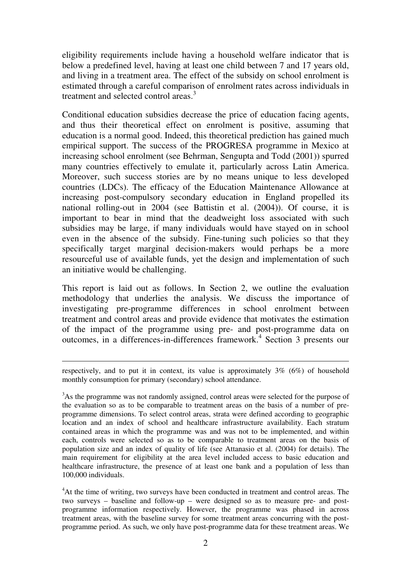eligibility requirements include having a household welfare indicator that is below a predefined level, having at least one child between 7 and 17 years old, and living in a treatment area. The effect of the subsidy on school enrolment is estimated through a careful comparison of enrolment rates across individuals in treatment and selected control areas.<sup>3</sup>

Conditional education subsidies decrease the price of education facing agents, and thus their theoretical effect on enrolment is positive, assuming that education is a normal good. Indeed, this theoretical prediction has gained much empirical support. The success of the PROGRESA programme in Mexico at increasing school enrolment (see Behrman, Sengupta and Todd (2001)) spurred many countries effectively to emulate it, particularly across Latin America. Moreover, such success stories are by no means unique to less developed countries (LDCs). The efficacy of the Education Maintenance Allowance at increasing post-compulsory secondary education in England propelled its national rolling-out in 2004 (see Battistin et al. (2004)). Of course, it is important to bear in mind that the deadweight loss associated with such subsidies may be large, if many individuals would have stayed on in school even in the absence of the subsidy. Fine-tuning such policies so that they specifically target marginal decision-makers would perhaps be a more resourceful use of available funds, yet the design and implementation of such an initiative would be challenging.

This report is laid out as follows. In Section 2, we outline the evaluation methodology that underlies the analysis. We discuss the importance of investigating pre-programme differences in school enrolment between treatment and control areas and provide evidence that motivates the estimation of the impact of the programme using pre- and post-programme data on outcomes, in a differences-in-differences framework.<sup>4</sup> Section 3 presents our

<u>.</u>

respectively, and to put it in context, its value is approximately 3% (6%) of household monthly consumption for primary (secondary) school attendance.

<sup>&</sup>lt;sup>3</sup>As the programme was not randomly assigned, control areas were selected for the purpose of the evaluation so as to be comparable to treatment areas on the basis of a number of preprogramme dimensions. To select control areas, strata were defined according to geographic location and an index of school and healthcare infrastructure availability. Each stratum contained areas in which the programme was and was not to be implemented, and within each, controls were selected so as to be comparable to treatment areas on the basis of population size and an index of quality of life (see Attanasio et al. (2004) for details). The main requirement for eligibility at the area level included access to basic education and healthcare infrastructure, the presence of at least one bank and a population of less than 100,000 individuals.

<sup>&</sup>lt;sup>4</sup>At the time of writing, two surveys have been conducted in treatment and control areas. The two surveys – baseline and follow-up – were designed so as to measure pre- and postprogramme information respectively. However, the programme was phased in across treatment areas, with the baseline survey for some treatment areas concurring with the postprogramme period. As such, we only have post-programme data for these treatment areas. We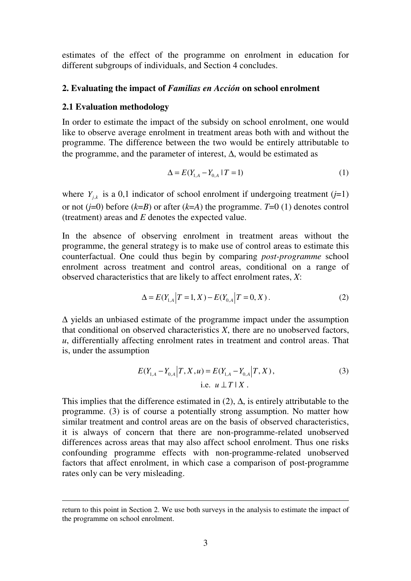estimates of the effect of the programme on enrolment in education for different subgroups of individuals, and Section 4 concludes.

#### **2. Evaluating the impact of** *Familias en Acción* **on school enrolment**

#### **2.1 Evaluation methodology**

<u>.</u>

In order to estimate the impact of the subsidy on school enrolment, one would like to observe average enrolment in treatment areas both with and without the programme. The difference between the two would be entirely attributable to the programme, and the parameter of interest, ∆, would be estimated as

$$
\Delta = E(Y_{1,A} - Y_{0,A} | T = 1)
$$
\n(1)

where  $Y_{ijk}$  is a 0,1 indicator of school enrolment if undergoing treatment (*j*=1) or not  $(j=0)$  before  $(k=B)$  or after  $(k=A)$  the programme.  $T=0$  (1) denotes control (treatment) areas and *E* denotes the expected value.

In the absence of observing enrolment in treatment areas without the programme, the general strategy is to make use of control areas to estimate this counterfactual. One could thus begin by comparing *post-programme* school enrolment across treatment and control areas, conditional on a range of observed characteristics that are likely to affect enrolment rates, *X*:

$$
\Delta = E(Y_{1,A} | T = 1, X) - E(Y_{0,A} | T = 0, X).
$$
\n(2)

∆ yields an unbiased estimate of the programme impact under the assumption that conditional on observed characteristics *X*, there are no unobserved factors, *u*, differentially affecting enrolment rates in treatment and control areas. That is, under the assumption

$$
E(Y_{1,A} - Y_{0,A} | T, X, u) = E(Y_{1,A} - Y_{0,A} | T, X),
$$
  
i.e.  $u \perp T | X$ . (3)

This implies that the difference estimated in  $(2)$ ,  $\Delta$ , is entirely attributable to the programme. (3) is of course a potentially strong assumption. No matter how similar treatment and control areas are on the basis of observed characteristics, it is always of concern that there are non-programme-related unobserved differences across areas that may also affect school enrolment. Thus one risks confounding programme effects with non-programme-related unobserved factors that affect enrolment, in which case a comparison of post-programme rates only can be very misleading.

return to this point in Section 2. We use both surveys in the analysis to estimate the impact of the programme on school enrolment.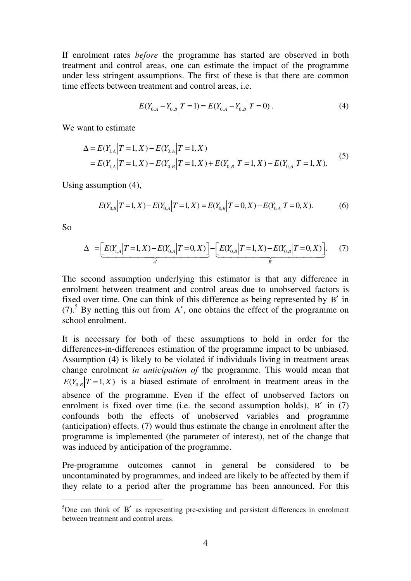If enrolment rates *before* the programme has started are observed in both treatment and control areas, one can estimate the impact of the programme under less stringent assumptions. The first of these is that there are common time effects between treatment and control areas, i.e.

$$
E(Y_{0,A} - Y_{0,B} | T = 1) = E(Y_{0,A} - Y_{0,B} | T = 0).
$$
\n(4)

We want to estimate

$$
\Delta = E(Y_{1,A} | T = 1, X) - E(Y_{0,A} | T = 1, X)
$$
  
=  $E(Y_{1,A} | T = 1, X) - E(Y_{0,B} | T = 1, X) + E(Y_{0,B} | T = 1, X) - E(Y_{0,A} | T = 1, X).$  (5)

Using assumption (4),

$$
E(Y_{0,B} | T=1, X) - E(Y_{0,A} | T=1, X) = E(Y_{0,B} | T=0, X) - E(Y_{0,A} | T=0, X).
$$
 (6)

So

 $\overline{a}$ 

$$
\Delta = \underbrace{\left[E(Y_{1,A} | T=1, X) - E(Y_{0,A} | T=0, X)\right]}_{A'} - \underbrace{\left[E(Y_{0,B} | T=1, X) - E(Y_{0,B} | T=0, X)\right]}_{B'}.\tag{7}
$$

The second assumption underlying this estimator is that any difference in enrolment between treatment and control areas due to unobserved factors is fixed over time. One can think of this difference as being represented by B′ in  $(7)$ .<sup>5</sup> By netting this out from A', one obtains the effect of the programme on school enrolment.

It is necessary for both of these assumptions to hold in order for the differences-in-differences estimation of the programme impact to be unbiased. Assumption (4) is likely to be violated if individuals living in treatment areas change enrolment *in anticipation of* the programme. This would mean that  $E(Y_{0R} | T=1, X)$  is a biased estimate of enrolment in treatment areas in the absence of the programme. Even if the effect of unobserved factors on enrolment is fixed over time (i.e. the second assumption holds), B' in (7) confounds both the effects of unobserved variables and programme (anticipation) effects. (7) would thus estimate the change in enrolment after the programme is implemented (the parameter of interest), net of the change that was induced by anticipation of the programme.

Pre-programme outcomes cannot in general be considered to be uncontaminated by programmes, and indeed are likely to be affected by them if they relate to a period after the programme has been announced. For this

 $5$ One can think of B' as representing pre-existing and persistent differences in enrolment between treatment and control areas.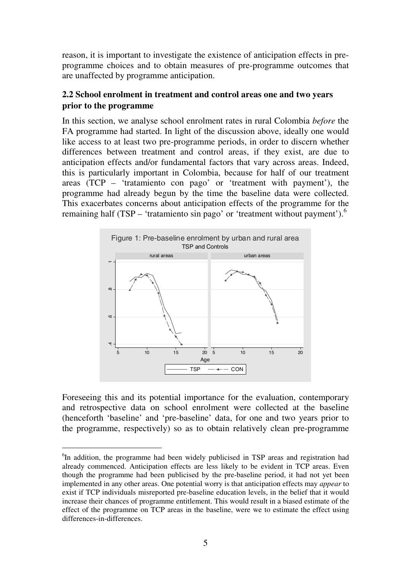reason, it is important to investigate the existence of anticipation effects in preprogramme choices and to obtain measures of pre-programme outcomes that are unaffected by programme anticipation.

## **2.2 School enrolment in treatment and control areas one and two years prior to the programme**

In this section, we analyse school enrolment rates in rural Colombia *before* the FA programme had started. In light of the discussion above, ideally one would like access to at least two pre-programme periods, in order to discern whether differences between treatment and control areas, if they exist, are due to anticipation effects and/or fundamental factors that vary across areas. Indeed, this is particularly important in Colombia, because for half of our treatment areas (TCP – 'tratamiento con pago' or 'treatment with payment'), the programme had already begun by the time the baseline data were collected. This exacerbates concerns about anticipation effects of the programme for the remaining half (TSP – 'tratamiento sin pago' or 'treatment without payment').<sup>6</sup>



Foreseeing this and its potential importance for the evaluation, contemporary and retrospective data on school enrolment were collected at the baseline (henceforth 'baseline' and 'pre-baseline' data, for one and two years prior to the programme, respectively) so as to obtain relatively clean pre-programme

 $\ddot{\phantom{a}}$ 

<sup>&</sup>lt;sup>6</sup>In addition, the programme had been widely publicised in TSP areas and registration had already commenced. Anticipation effects are less likely to be evident in TCP areas. Even though the programme had been publicised by the pre-baseline period, it had not yet been implemented in any other areas. One potential worry is that anticipation effects may *appear* to exist if TCP individuals misreported pre-baseline education levels, in the belief that it would increase their chances of programme entitlement. This would result in a biased estimate of the effect of the programme on TCP areas in the baseline, were we to estimate the effect using differences-in-differences.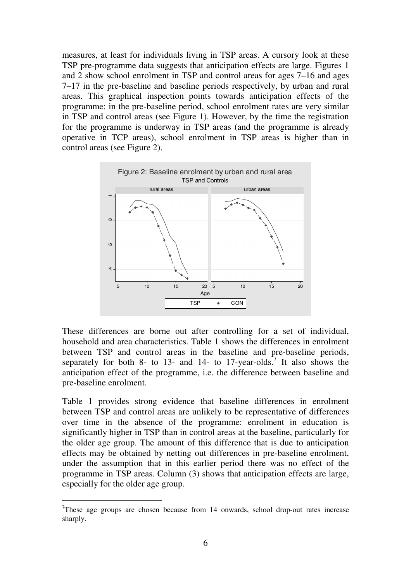measures, at least for individuals living in TSP areas. A cursory look at these TSP pre-programme data suggests that anticipation effects are large. Figures 1 and 2 show school enrolment in TSP and control areas for ages 7–16 and ages 7–17 in the pre-baseline and baseline periods respectively, by urban and rural areas. This graphical inspection points towards anticipation effects of the programme: in the pre-baseline period, school enrolment rates are very similar in TSP and control areas (see Figure 1). However, by the time the registration for the programme is underway in TSP areas (and the programme is already operative in TCP areas), school enrolment in TSP areas is higher than in control areas (see Figure 2).



These differences are borne out after controlling for a set of individual, household and area characteristics. Table 1 shows the differences in enrolment between TSP and control areas in the baseline and pre-baseline periods, separately for both 8- to 13- and 14- to 17-year-olds.<sup>7</sup> It also shows the anticipation effect of the programme, i.e. the difference between baseline and pre-baseline enrolment.

Table 1 provides strong evidence that baseline differences in enrolment between TSP and control areas are unlikely to be representative of differences over time in the absence of the programme: enrolment in education is significantly higher in TSP than in control areas at the baseline, particularly for the older age group. The amount of this difference that is due to anticipation effects may be obtained by netting out differences in pre-baseline enrolment, under the assumption that in this earlier period there was no effect of the programme in TSP areas. Column (3) shows that anticipation effects are large, especially for the older age group.

 $\overline{a}$ 

<sup>&</sup>lt;sup>7</sup>These age groups are chosen because from 14 onwards, school drop-out rates increase sharply.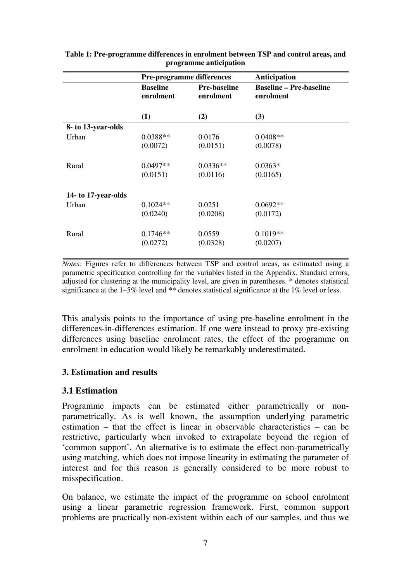|                     | <b>Pre-programme differences</b> |                                  | Anticipation                                |  |
|---------------------|----------------------------------|----------------------------------|---------------------------------------------|--|
|                     | <b>Baseline</b><br>enrolment     | <b>Pre-baseline</b><br>enrolment | <b>Baseline – Pre-baseline</b><br>enrolment |  |
|                     | (1)                              | (2)                              | (3)                                         |  |
| 8- to 13-year-olds  |                                  |                                  |                                             |  |
| Urban               | $0.0388**$                       | 0.0176                           | $0.0408**$                                  |  |
|                     | (0.0072)                         | (0.0151)                         | (0.0078)                                    |  |
|                     |                                  |                                  |                                             |  |
| Rural               | $0.0497**$                       | $0.0336**$                       | $0.0363*$                                   |  |
|                     | (0.0151)                         | (0.0116)                         | (0.0165)                                    |  |
| 14- to 17-year-olds |                                  |                                  |                                             |  |
| Urban               | $0.1024**$                       | 0.0251                           | $0.0692**$                                  |  |
|                     | (0.0240)                         | (0.0208)                         | (0.0172)                                    |  |
| Rural               | $0.1746**$                       | 0.0559                           | $0.1019**$                                  |  |
|                     | (0.0272)                         | (0.0328)                         | (0.0207)                                    |  |
|                     |                                  |                                  |                                             |  |

**Table 1: Pre-programme differences in enrolment between TSP and control areas, and programme anticipation** 

*Notes:* Figures refer to differences between TSP and control areas, as estimated using a parametric specification controlling for the variables listed in the Appendix. Standard errors, adjusted for clustering at the municipality level, are given in parentheses. \* denotes statistical significance at the 1–5% level and  $*\ast$  denotes statistical significance at the 1% level or less.

This analysis points to the importance of using pre-baseline enrolment in the differences-in-differences estimation. If one were instead to proxy pre-existing differences using baseline enrolment rates, the effect of the programme on enrolment in education would likely be remarkably underestimated.

## **3. Estimation and results**

## **3.1 Estimation**

Programme impacts can be estimated either parametrically or nonparametrically. As is well known, the assumption underlying parametric estimation – that the effect is linear in observable characteristics – can be restrictive, particularly when invoked to extrapolate beyond the region of 'common support'. An alternative is to estimate the effect non-parametrically using matching, which does not impose linearity in estimating the parameter of interest and for this reason is generally considered to be more robust to misspecification.

On balance, we estimate the impact of the programme on school enrolment using a linear parametric regression framework. First, common support problems are practically non-existent within each of our samples, and thus we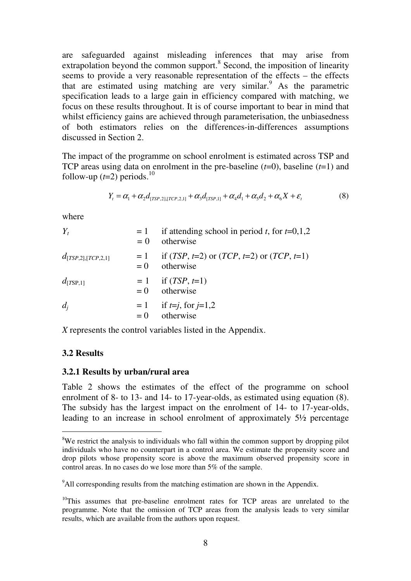are safeguarded against misleading inferences that may arise from extrapolation beyond the common support.<sup>8</sup> Second, the imposition of linearity seems to provide a very reasonable representation of the effects – the effects that are estimated using matching are very similar.<sup>9</sup> As the parametric specification leads to a large gain in efficiency compared with matching, we focus on these results throughout. It is of course important to bear in mind that whilst efficiency gains are achieved through parameterisation, the unbiasedness of both estimators relies on the differences-in-differences assumptions discussed in Section 2.

The impact of the programme on school enrolment is estimated across TSP and TCP areas using data on enrolment in the pre-baseline (*t*=0), baseline (*t*=1) and follow-up  $(t=2)$  periods.<sup>10</sup>

$$
Y_{t} = \alpha_{1} + \alpha_{2}d_{[TSP,2],[TCP,2,1]} + \alpha_{3}d_{[TSP,1]} + \alpha_{4}d_{1} + \alpha_{5}d_{2} + \alpha_{6}X + \varepsilon_{t}
$$
(8)

where

| $Y_t$                   | $=1$<br>$= 0$ | if attending school in period t, for $t=0,1,2$<br>otherwise                                                     |
|-------------------------|---------------|-----------------------------------------------------------------------------------------------------------------|
| $d_{[TSP,2],[TCP,2,1]}$ | $= 0$         | $= 1$ if ( <i>TSP</i> , <i>t</i> =2) or ( <i>TCP</i> , <i>t</i> =2) or ( <i>TCP</i> , <i>t</i> =1)<br>otherwise |
| $d_{\text{[TSP,1]}}$    |               | $= 1$ if ( <i>TSP</i> , <i>t</i> =1)<br>$= 0$ otherwise                                                         |
| $d_i$                   | $= 0$         | $= 1$ if <i>t=j</i> , for <i>j</i> =1,2<br>otherwise                                                            |

*X* represents the control variables listed in the Appendix.

#### **3.2 Results**

 $\ddot{\phantom{a}}$ 

#### **3.2.1 Results by urban/rural area**

Table 2 shows the estimates of the effect of the programme on school enrolment of 8- to 13- and 14- to 17-year-olds, as estimated using equation (8). The subsidy has the largest impact on the enrolment of 14- to 17-year-olds, leading to an increase in school enrolment of approximately 5½ percentage

<sup>&</sup>lt;sup>8</sup>We restrict the analysis to individuals who fall within the common support by dropping pilot individuals who have no counterpart in a control area. We estimate the propensity score and drop pilots whose propensity score is above the maximum observed propensity score in control areas. In no cases do we lose more than 5% of the sample.

<sup>&</sup>lt;sup>9</sup>All corresponding results from the matching estimation are shown in the Appendix.

 $10$ This assumes that pre-baseline enrolment rates for TCP areas are unrelated to the programme. Note that the omission of TCP areas from the analysis leads to very similar results, which are available from the authors upon request.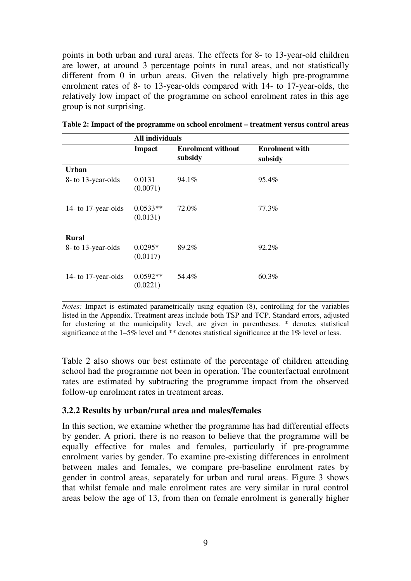points in both urban and rural areas. The effects for 8- to 13-year-old children are lower, at around 3 percentage points in rural areas, and not statistically different from 0 in urban areas. Given the relatively high pre-programme enrolment rates of 8- to 13-year-olds compared with 14- to 17-year-olds, the relatively low impact of the programme on school enrolment rates in this age group is not surprising.

|                     | All individuals        |                                     |                                  |
|---------------------|------------------------|-------------------------------------|----------------------------------|
|                     | <b>Impact</b>          | <b>Enrolment without</b><br>subsidy | <b>Enrolment with</b><br>subsidy |
| <b>Urban</b>        |                        |                                     |                                  |
| 8- to 13-year-olds  | 0.0131<br>(0.0071)     | 94.1%                               | 95.4%                            |
| 14- to 17-year-olds | $0.0533**$<br>(0.0131) | 72.0%                               | 77.3%                            |
| <b>Rural</b>        |                        |                                     |                                  |
| 8- to 13-year-olds  | $0.0295*$<br>(0.0117)  | 89.2%                               | 92.2%                            |
| 14- to 17-year-olds | $0.0592**$<br>(0.0221) | 54.4%                               | $60.3\%$                         |

|  | Table 2: Impact of the programme on school enrolment – treatment versus control areas |
|--|---------------------------------------------------------------------------------------|
|--|---------------------------------------------------------------------------------------|

*Notes:* Impact is estimated parametrically using equation (8), controlling for the variables listed in the Appendix. Treatment areas include both TSP and TCP. Standard errors, adjusted for clustering at the municipality level, are given in parentheses. \* denotes statistical significance at the 1–5% level and \*\* denotes statistical significance at the 1% level or less.

Table 2 also shows our best estimate of the percentage of children attending school had the programme not been in operation. The counterfactual enrolment rates are estimated by subtracting the programme impact from the observed follow-up enrolment rates in treatment areas.

### **3.2.2 Results by urban/rural area and males/females**

In this section, we examine whether the programme has had differential effects by gender. A priori, there is no reason to believe that the programme will be equally effective for males and females, particularly if pre-programme enrolment varies by gender. To examine pre-existing differences in enrolment between males and females, we compare pre-baseline enrolment rates by gender in control areas, separately for urban and rural areas. Figure 3 shows that whilst female and male enrolment rates are very similar in rural control areas below the age of 13, from then on female enrolment is generally higher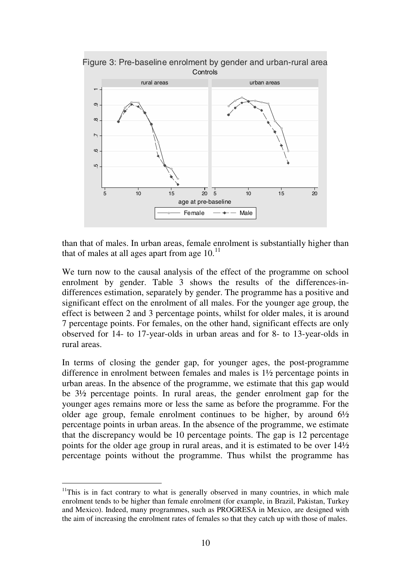

than that of males. In urban areas, female enrolment is substantially higher than that of males at all ages apart from age  $10<sup>11</sup>$ 

We turn now to the causal analysis of the effect of the programme on school enrolment by gender. Table 3 shows the results of the differences-indifferences estimation, separately by gender. The programme has a positive and significant effect on the enrolment of all males. For the younger age group, the effect is between 2 and 3 percentage points, whilst for older males, it is around 7 percentage points. For females, on the other hand, significant effects are only observed for 14- to 17-year-olds in urban areas and for 8- to 13-year-olds in rural areas.

In terms of closing the gender gap, for younger ages, the post-programme difference in enrolment between females and males is 1½ percentage points in urban areas. In the absence of the programme, we estimate that this gap would be 3½ percentage points. In rural areas, the gender enrolment gap for the younger ages remains more or less the same as before the programme. For the older age group, female enrolment continues to be higher, by around  $6\frac{1}{2}$ percentage points in urban areas. In the absence of the programme, we estimate that the discrepancy would be 10 percentage points. The gap is 12 percentage points for the older age group in rural areas, and it is estimated to be over 14½ percentage points without the programme. Thus whilst the programme has

 $\ddot{\phantom{a}}$ 

 $11$ This is in fact contrary to what is generally observed in many countries, in which male enrolment tends to be higher than female enrolment (for example, in Brazil, Pakistan, Turkey and Mexico). Indeed, many programmes, such as PROGRESA in Mexico, are designed with the aim of increasing the enrolment rates of females so that they catch up with those of males.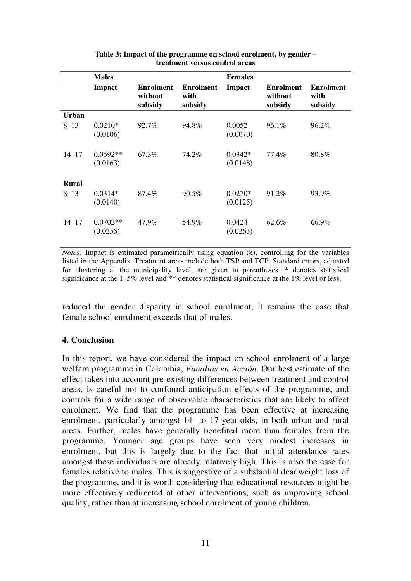|              | <b>Males</b>           |                                        |                                     | <b>Females</b>        |                                        |                                     |
|--------------|------------------------|----------------------------------------|-------------------------------------|-----------------------|----------------------------------------|-------------------------------------|
|              | <b>Impact</b>          | <b>Enrolment</b><br>without<br>subsidy | <b>Enrolment</b><br>with<br>subsidy | <b>Impact</b>         | <b>Enrolment</b><br>without<br>subsidy | <b>Enrolment</b><br>with<br>subsidy |
| Urban        |                        |                                        |                                     |                       |                                        |                                     |
| $8 - 13$     | $0.0210*$<br>(0.0106)  | 92.7%                                  | 94.8%                               | 0.0052<br>(0.0070)    | $96.1\%$                               | 96.2%                               |
| $14 - 17$    | $0.0692**$<br>(0.0163) | 67.3%                                  | 74.2%                               | $0.0342*$<br>(0.0148) | 77.4%                                  | 80.8%                               |
| <b>Rural</b> |                        |                                        |                                     |                       |                                        |                                     |
| $8 - 13$     | $0.0314*$<br>(0.0140)  | 87.4%                                  | 90.5%                               | $0.0270*$<br>(0.0125) | 91.2%                                  | 93.9%                               |
| $14 - 17$    | $0.0702**$<br>(0.0255) | 47.9%                                  | 54.9%                               | 0.0424<br>(0.0263)    | 62.6%                                  | 66.9%                               |

| Table 3: Impact of the programme on school enrolment, by gender – |
|-------------------------------------------------------------------|
| treatment versus control areas                                    |

*Notes:* Impact is estimated parametrically using equation (8), controlling for the variables listed in the Appendix. Treatment areas include both TSP and TCP. Standard errors, adjusted for clustering at the municipality level, are given in parentheses. \* denotes statistical significance at the 1–5% level and \*\* denotes statistical significance at the 1% level or less.

reduced the gender disparity in school enrolment, it remains the case that female school enrolment exceeds that of males.

## **4. Conclusion**

In this report, we have considered the impact on school enrolment of a large welfare programme in Colombia, *Familias en Acción*. Our best estimate of the effect takes into account pre-existing differences between treatment and control areas, is careful not to confound anticipation effects of the programme, and controls for a wide range of observable characteristics that are likely to affect enrolment. We find that the programme has been effective at increasing enrolment, particularly amongst 14- to 17-year-olds, in both urban and rural areas. Further, males have generally benefited more than females from the programme. Younger age groups have seen very modest increases in enrolment, but this is largely due to the fact that initial attendance rates amongst these individuals are already relatively high. This is also the case for females relative to males. This is suggestive of a substantial deadweight loss of the programme, and it is worth considering that educational resources might be more effectively redirected at other interventions, such as improving school quality, rather than at increasing school enrolment of young children.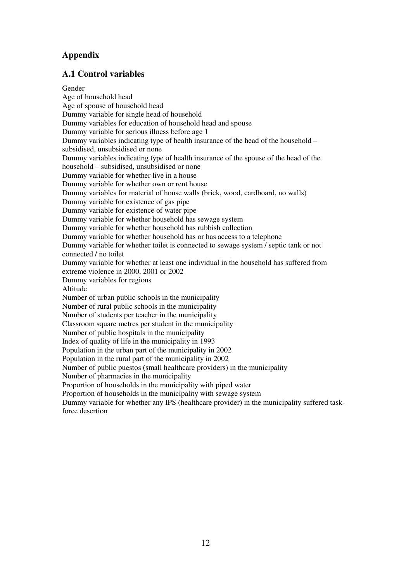## **Appendix**

## **A.1 Control variables**

Gender Age of household head Age of spouse of household head Dummy variable for single head of household Dummy variables for education of household head and spouse Dummy variable for serious illness before age 1 Dummy variables indicating type of health insurance of the head of the household – subsidised, unsubsidised or none Dummy variables indicating type of health insurance of the spouse of the head of the household – subsidised, unsubsidised or none Dummy variable for whether live in a house Dummy variable for whether own or rent house Dummy variables for material of house walls (brick, wood, cardboard, no walls) Dummy variable for existence of gas pipe Dummy variable for existence of water pipe Dummy variable for whether household has sewage system Dummy variable for whether household has rubbish collection Dummy variable for whether household has or has access to a telephone Dummy variable for whether toilet is connected to sewage system / septic tank or not connected / no toilet Dummy variable for whether at least one individual in the household has suffered from extreme violence in 2000, 2001 or 2002 Dummy variables for regions Altitude Number of urban public schools in the municipality Number of rural public schools in the municipality Number of students per teacher in the municipality Classroom square metres per student in the municipality Number of public hospitals in the municipality Index of quality of life in the municipality in 1993 Population in the urban part of the municipality in 2002 Population in the rural part of the municipality in 2002 Number of public puestos (small healthcare providers) in the municipality Number of pharmacies in the municipality Proportion of households in the municipality with piped water Proportion of households in the municipality with sewage system Dummy variable for whether any IPS (healthcare provider) in the municipality suffered taskforce desertion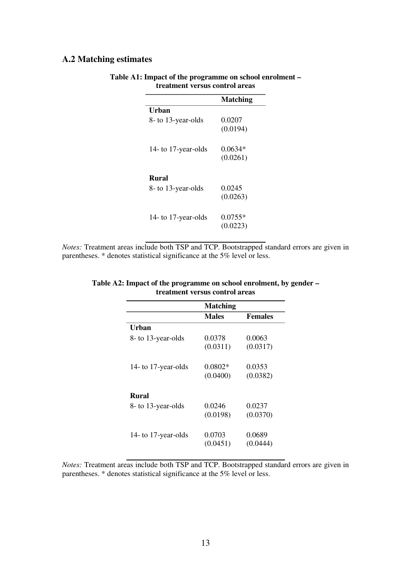## **A.2 Matching estimates**

|                     | <b>Matching</b> |
|---------------------|-----------------|
| Urban               |                 |
| 8- to 13-year-olds  | 0.0207          |
|                     | (0.0194)        |
| 14- to 17-year-olds | 0.0634*         |
|                     | (0.0261)        |
|                     |                 |
| <b>Rural</b>        |                 |
| 8- to 13-year-olds  | 0.0245          |
|                     | (0.0263)        |
| 14- to 17-year-olds | $0.0755*$       |
|                     | (0.0223)        |
|                     |                 |

#### **Table A1: Impact of the programme on school enrolment – treatment versus control areas**

*Notes:* Treatment areas include both TSP and TCP. Bootstrapped standard errors are given in parentheses. \* denotes statistical significance at the 5% level or less.

|           | <b>Females</b>                  |
|-----------|---------------------------------|
|           |                                 |
| 0.0378    | 0.0063                          |
| (0.0311)  | (0.0317)                        |
| $0.0802*$ | 0.0353                          |
| (0.0400)  | (0.0382)                        |
|           |                                 |
| 0.0246    | 0.0237                          |
| (0.0198)  | (0.0370)                        |
|           |                                 |
| 0.0703    | 0.0689                          |
| (0.0451)  | (0.0444)                        |
|           | <b>Matching</b><br><b>Males</b> |

#### **Table A2: Impact of the programme on school enrolment, by gender – treatment versus control areas**

*Notes:* Treatment areas include both TSP and TCP. Bootstrapped standard errors are given in parentheses. \* denotes statistical significance at the 5% level or less.